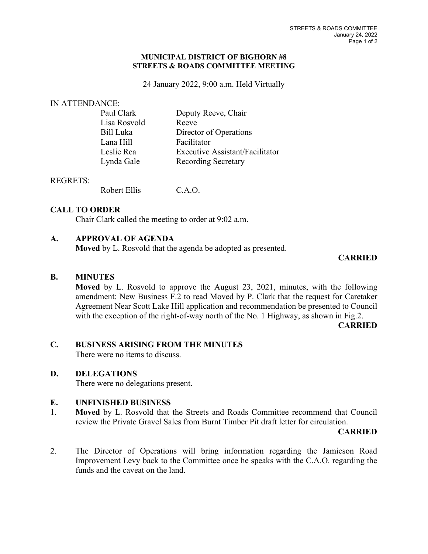#### **MUNICIPAL DISTRICT OF BIGHORN #8 STREETS & ROADS COMMITTEE MEETING**

24 January 2022, 9:00 a.m. Held Virtually

#### IN ATTENDANCE:

| Paul Clark   | Deputy Reeve, Chair                    |
|--------------|----------------------------------------|
| Lisa Rosvold | Reeve                                  |
| Bill Luka    | Director of Operations                 |
| Lana Hill    | Facilitator                            |
| Leslie Rea   | <b>Executive Assistant/Facilitator</b> |
| Lynda Gale   | <b>Recording Secretary</b>             |
|              |                                        |

#### REGRETS:

Robert Ellis C.A.O.

## **CALL TO ORDER**

Chair Clark called the meeting to order at 9:02 a.m.

# **A. APPROVAL OF AGENDA**

**Moved** by L. Rosvold that the agenda be adopted as presented.

# **CARRIED**

## **B. MINUTES**

**Moved** by L. Rosvold to approve the August 23, 2021, minutes, with the following amendment: New Business F.2 to read Moved by P. Clark that the request for Caretaker Agreement Near Scott Lake Hill application and recommendation be presented to Council with the exception of the right-of-way north of the No. 1 Highway, as shown in Fig.2.

**CARRIED**

## **C. BUSINESS ARISING FROM THE MINUTES**

There were no items to discuss.

## **D. DELEGATIONS**

There were no delegations present.

## **E. UNFINISHED BUSINESS**

1. **Moved** by L. Rosvold that the Streets and Roads Committee recommend that Council review the Private Gravel Sales from Burnt Timber Pit draft letter for circulation.

#### **CARRIED**

2. The Director of Operations will bring information regarding the Jamieson Road Improvement Levy back to the Committee once he speaks with the C.A.O. regarding the funds and the caveat on the land.